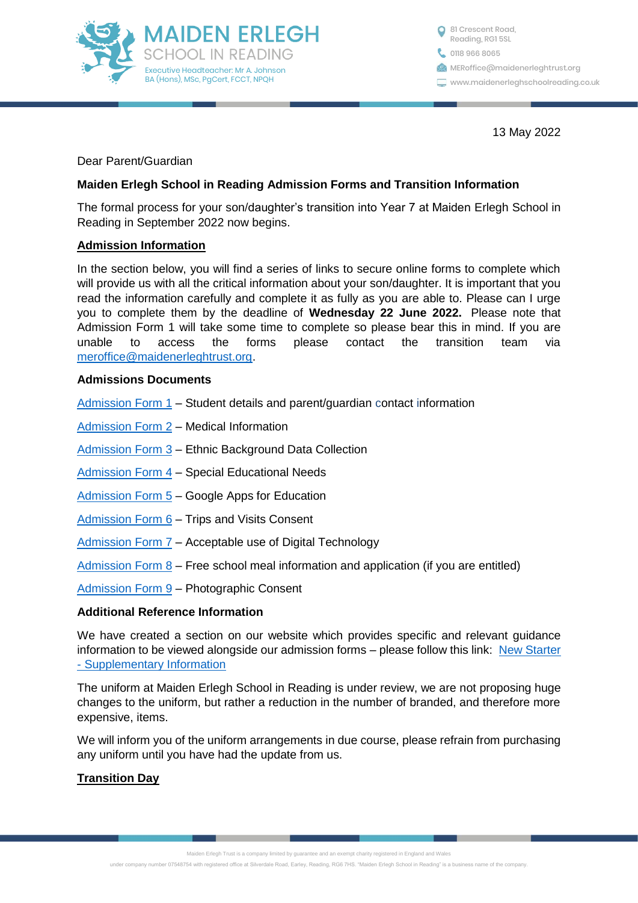

C 0118 966 8065 <sup>81</sup> Crescent Road, Reading, RG1 5SL **MERoffice**@maidenerleghtrust.org www.maidenerleghschoolreading.co.uk

13 May 2022

Dear Parent/Guardian

### **Maiden Erlegh School in Reading Admission Forms and Transition Information**

The formal process for your son/daughter's transition into Year 7 at Maiden Erlegh School in Reading in September 2022 now begins.

### **Admission Information**

In the section below, you will find a series of links to secure online forms to complete which will provide us with all the critical information about your son/daughter. It is important that you read the information carefully and complete it as fully as you are able to. Please can I urge you to complete them by the deadline of **Wednesday 22 June 2022.** Please note that Admission Form 1 will take some time to complete so please bear this in mind. If you are unable to access the forms please contact the transition team via [meroffice@maidenerleghtrust.org.](mailto:meroffice@maidenerleghtrust.org)

#### **Admissions Documents**

[Admission Form 1](https://forms.office.com/Pages/ResponsePage.aspx?id=WwlpOb3F7ECiSBghIHVh9B-zB3wriq5EoHAYnRKz2HdURFhWSjI3T1JSTEE1Rk44TExWUFg3RklZUy4u) – Student details and parent/guardian contact information

[Admission Form 2](https://forms.office.com/Pages/ResponsePage.aspx?id=WwlpOb3F7ECiSBghIHVh9B-zB3wriq5EoHAYnRKz2HdUNjhYRVROSkRUUzFNVVpGVUxXOFhXWjBQSS4u) – Medical Information

[Admission Form 3](https://forms.office.com/Pages/ResponsePage.aspx?id=WwlpOb3F7ECiSBghIHVh9B-zB3wriq5EoHAYnRKz2HdUNFNEOUFRS1dQSzJZWUhJRUxGRDFMWkNVQy4u) – Ethnic Background Data Collection

[Admission Form 4](https://forms.office.com/Pages/ResponsePage.aspx?id=WwlpOb3F7ECiSBghIHVh9B-zB3wriq5EoHAYnRKz2HdUQ1ZCVEpKMjVMNzNTVjdaSE0wRlpOVjhQQy4u) – Special Educational Needs

[Admission Form 5](https://forms.office.com/Pages/ResponsePage.aspx?id=WwlpOb3F7ECiSBghIHVh9B-zB3wriq5EoHAYnRKz2HdUNVdTOTBFWEFJUkJMQURZODEyQVVGSEEzRC4u) – Google Apps for Education

[Admission Form 6](https://forms.office.com/Pages/ResponsePage.aspx?id=WwlpOb3F7ECiSBghIHVh9B-zB3wriq5EoHAYnRKz2HdUQ0tMQjRUMzg1TTVVUzBRRFBYQ1k2NTZOMC4u) – Trips and Visits Consent

[Admission Form 7](https://forms.office.com/Pages/ResponsePage.aspx?id=WwlpOb3F7ECiSBghIHVh9B-zB3wriq5EoHAYnRKz2HdUMldVQlpPMjZBOVRDOE9SNERaUUkzQ0M5US4u) – Acceptable use of Digital Technology

Admission Form  $8 -$  Free school meal information and application (if you are entitled)

[Admission Form 9](https://forms.office.com/Pages/ResponsePage.aspx?id=WwlpOb3F7ECiSBghIHVh9B-zB3wriq5EoHAYnRKz2HdUMkkyMVpGV0dCOE1HTDdDRFo4TFJVT0lYTS4u) – Photographic Consent

### **Additional Reference Information**

We have created a section on our website which provides specific and relevant quidance information to be viewed alongside our admission forms – please follow this link: New Starter - [Supplementary Information](https://www.maidenerleghschoolreading.co.uk/page/?title=New+starter+%2D+supplementary+information&pid=184)

The uniform at Maiden Erlegh School in Reading is under review, we are not proposing huge changes to the uniform, but rather a reduction in the number of branded, and therefore more expensive, items.

We will inform you of the uniform arrangements in due course, please refrain from purchasing any uniform until you have had the update from us.

### **Transition Day**

Maiden Erlegh Trust is a company limited by guarantee and an exempt charity registered in England and Wales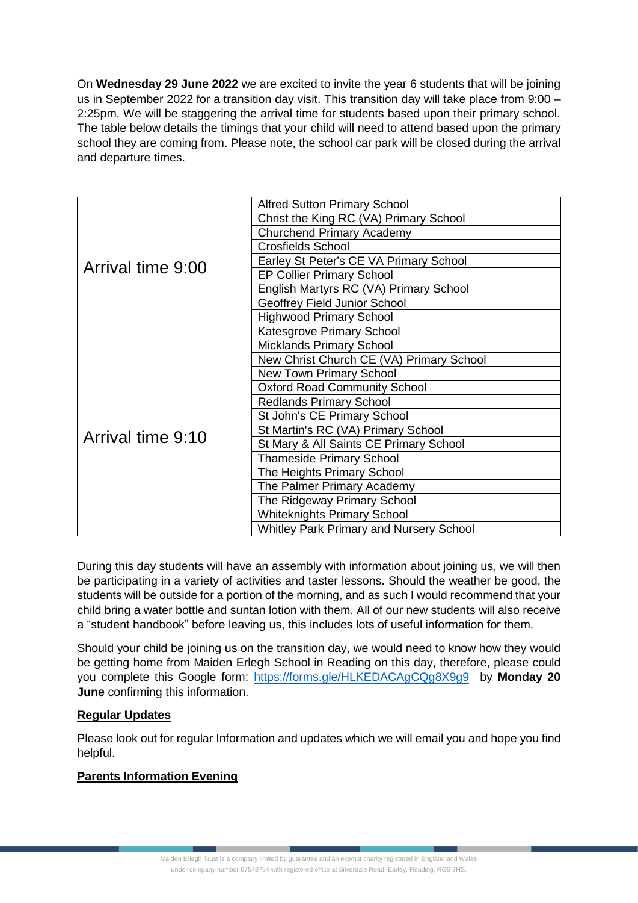On **Wednesday 29 June 2022** we are excited to invite the year 6 students that will be joining us in September 2022 for a transition day visit. This transition day will take place from 9:00 – 2:25pm. We will be staggering the arrival time for students based upon their primary school. The table below details the timings that your child will need to attend based upon the primary school they are coming from. Please note, the school car park will be closed during the arrival and departure times.

| Arrival time 9:00 | <b>Alfred Sutton Primary School</b>            |
|-------------------|------------------------------------------------|
|                   | Christ the King RC (VA) Primary School         |
|                   | <b>Churchend Primary Academy</b>               |
|                   | <b>Crosfields School</b>                       |
|                   | Earley St Peter's CE VA Primary School         |
|                   | <b>EP Collier Primary School</b>               |
|                   | English Martyrs RC (VA) Primary School         |
|                   | Geoffrey Field Junior School                   |
|                   | <b>Highwood Primary School</b>                 |
|                   | Katesgrove Primary School                      |
| Arrival time 9:10 | <b>Micklands Primary School</b>                |
|                   | New Christ Church CE (VA) Primary School       |
|                   | <b>New Town Primary School</b>                 |
|                   | <b>Oxford Road Community School</b>            |
|                   | <b>Redlands Primary School</b>                 |
|                   | St John's CE Primary School                    |
|                   | St Martin's RC (VA) Primary School             |
|                   | St Mary & All Saints CE Primary School         |
|                   | <b>Thameside Primary School</b>                |
|                   | The Heights Primary School                     |
|                   | The Palmer Primary Academy                     |
|                   | The Ridgeway Primary School                    |
|                   | <b>Whiteknights Primary School</b>             |
|                   | <b>Whitley Park Primary and Nursery School</b> |

During this day students will have an assembly with information about joining us, we will then be participating in a variety of activities and taster lessons. Should the weather be good, the students will be outside for a portion of the morning, and as such I would recommend that your child bring a water bottle and suntan lotion with them. All of our new students will also receive a "student handbook" before leaving us, this includes lots of useful information for them.

Should your child be joining us on the transition day, we would need to know how they would be getting home from Maiden Erlegh School in Reading on this day, therefore, please could you complete this Google form: <https://forms.gle/HLKEDACAgCQg8X9g9> by **Monday 20 June** confirming this information.

# **Regular Updates**

Please look out for regular Information and updates which we will email you and hope you find helpful.

# **Parents Information Evening**